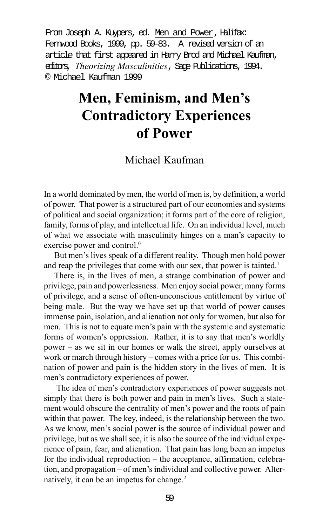From Joseph A. Kuypers, ed. Men and Power, Halifax: Fernwood Books, 1999, pp. 59-83. A revised version of an article that first appeared in Harry Brod and Michael Kaufman, editors, *Theorizing Masculinities*, Sage Publications, 1994. © Michael Kaufman 1999

# **Men, Feminism, and Men's Contradictory Experiences of Power**

# Michael Kaufman

In a world dominated by men, the world of men is, by definition, a world of power. That power is a structured part of our economies and systems of political and social organization; it forms part of the core of religion, family, forms of play, and intellectual life. On an individual level, much of what we associate with masculinity hinges on a man's capacity to exercise power and control.<sup>0</sup>

But men's lives speak of a different reality. Though men hold power and reap the privileges that come with our sex, that power is tainted.<sup>1</sup>

There is, in the lives of men, a strange combination of power and privilege, pain and powerlessness. Men enjoy social power, many forms of privilege, and a sense of often-unconscious entitlement by virtue of being male. But the way we have set up that world of power causes immense pain, isolation, and alienation not only for women, but also for men. This is not to equate men's pain with the systemic and systematic forms of women's oppression. Rather, it is to say that men's worldly power – as we sit in our homes or walk the street, apply ourselves at work or march through history – comes with a price for us. This combination of power and pain is the hidden story in the lives of men. It is men's contradictory experiences of power.

 The idea of men's contradictory experiences of power suggests not simply that there is both power and pain in men's lives. Such a statement would obscure the centrality of men's power and the roots of pain within that power. The key, indeed, is the relationship between the two. As we know, men's social power is the source of individual power and privilege, but as we shall see, it is also the source of the individual experience of pain, fear, and alienation. That pain has long been an impetus for the individual reproduction – the acceptance, affirmation, celebration, and propagation – of men's individual and collective power. Alternatively, it can be an impetus for change.<sup>2</sup>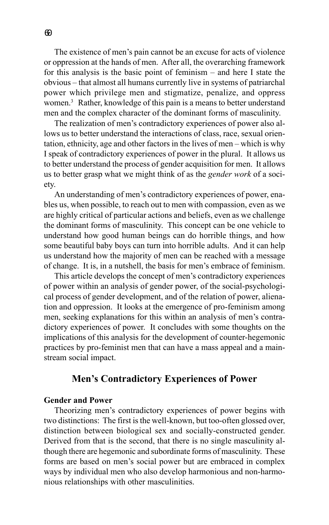The existence of men's pain cannot be an excuse for acts of violence or oppression at the hands of men. After all, the overarching framework for this analysis is the basic point of feminism – and here I state the obvious – that almost all humans currently live in systems of patriarchal power which privilege men and stigmatize, penalize, and oppress women.3 Rather, knowledge of this pain is a means to better understand men and the complex character of the dominant forms of masculinity.

The realization of men's contradictory experiences of power also allows us to better understand the interactions of class, race, sexual orientation, ethnicity, age and other factors in the lives of men – which is why I speak of contradictory experiences of power in the plural. It allows us to better understand the process of gender acquisition for men. It allows us to better grasp what we might think of as the *gender work* of a society.

An understanding of men's contradictory experiences of power, enables us, when possible, to reach out to men with compassion, even as we are highly critical of particular actions and beliefs, even as we challenge the dominant forms of masculinity. This concept can be one vehicle to understand how good human beings can do horrible things, and how some beautiful baby boys can turn into horrible adults. And it can help us understand how the majority of men can be reached with a message of change. It is, in a nutshell, the basis for men's embrace of feminism.

This article develops the concept of men's contradictory experiences of power within an analysis of gender power, of the social-psychological process of gender development, and of the relation of power, alienation and oppression. It looks at the emergence of pro-feminism among men, seeking explanations for this within an analysis of men's contradictory experiences of power. It concludes with some thoughts on the implications of this analysis for the development of counter-hegemonic practices by pro-feminist men that can have a mass appeal and a mainstream social impact.

## **Men's Contradictory Experiences of Power**

### **Gender and Power**

Theorizing men's contradictory experiences of power begins with two distinctions: The first is the well-known, but too-often glossed over, distinction between biological sex and socially-constructed gender. Derived from that is the second, that there is no single masculinity although there are hegemonic and subordinate forms of masculinity. These forms are based on men's social power but are embraced in complex ways by individual men who also develop harmonious and non-harmonious relationships with other masculinities.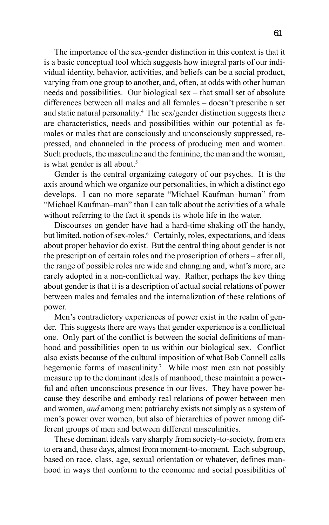The importance of the sex-gender distinction in this context is that it is a basic conceptual tool which suggests how integral parts of our individual identity, behavior, activities, and beliefs can be a social product, varying from one group to another, and, often, at odds with other human needs and possibilities. Our biological sex – that small set of absolute differences between all males and all females – doesn't prescribe a set and static natural personality.4 The sex/gender distinction suggests there are characteristics, needs and possibilities within our potential as females or males that are consciously and unconsciously suppressed, repressed, and channeled in the process of producing men and women. Such products, the masculine and the feminine, the man and the woman, is what gender is all about.<sup>5</sup>

Gender is the central organizing category of our psyches. It is the axis around which we organize our personalities, in which a distinct ego develops. I can no more separate "Michael Kaufman–human" from "Michael Kaufman–man" than I can talk about the activities of a whale without referring to the fact it spends its whole life in the water.

Discourses on gender have had a hard-time shaking off the handy, but limited, notion of sex-roles.<sup>6</sup> Certainly, roles, expectations, and ideas about proper behavior do exist. But the central thing about gender is not the prescription of certain roles and the proscription of others – after all, the range of possible roles are wide and changing and, what's more, are rarely adopted in a non-conflictual way. Rather, perhaps the key thing about gender is that it is a description of actual social relations of power between males and females and the internalization of these relations of power.

Men's contradictory experiences of power exist in the realm of gender. This suggests there are ways that gender experience is a conflictual one. Only part of the conflict is between the social definitions of manhood and possibilities open to us within our biological sex. Conflict also exists because of the cultural imposition of what Bob Connell calls hegemonic forms of masculinity.<sup>7</sup> While most men can not possibly measure up to the dominant ideals of manhood, these maintain a powerful and often unconscious presence in our lives. They have power because they describe and embody real relations of power between men and women, *and* among men: patriarchy exists not simply as a system of men's power over women, but also of hierarchies of power among different groups of men and between different masculinities.

These dominant ideals vary sharply from society-to-society, from era to era and, these days, almost from moment-to-moment. Each subgroup, based on race, class, age, sexual orientation or whatever, defines manhood in ways that conform to the economic and social possibilities of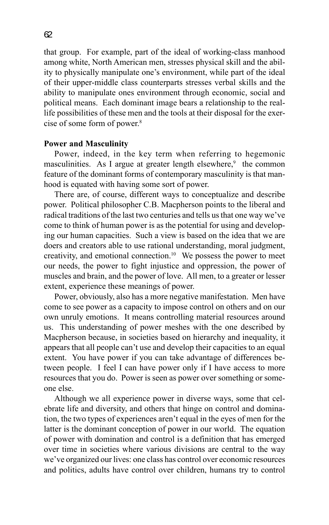that group. For example, part of the ideal of working-class manhood among white, North American men, stresses physical skill and the ability to physically manipulate one's environment, while part of the ideal of their upper-middle class counterparts stresses verbal skills and the ability to manipulate ones environment through economic, social and political means. Each dominant image bears a relationship to the reallife possibilities of these men and the tools at their disposal for the exercise of some form of power.8

#### **Power and Masculinity**

Power, indeed, in the key term when referring to hegemonic masculinities. As I argue at greater length elsewhere, $9$  the common feature of the dominant forms of contemporary masculinity is that manhood is equated with having some sort of power.

There are, of course, different ways to conceptualize and describe power. Political philosopher C.B. Macpherson points to the liberal and radical traditions of the last two centuries and tells us that one way we've come to think of human power is as the potential for using and developing our human capacities. Such a view is based on the idea that we are doers and creators able to use rational understanding, moral judgment, creativity, and emotional connection.10 We possess the power to meet our needs, the power to fight injustice and oppression, the power of muscles and brain, and the power of love. All men, to a greater or lesser extent, experience these meanings of power.

Power, obviously, also has a more negative manifestation. Men have come to see power as a capacity to impose control on others and on our own unruly emotions. It means controlling material resources around us. This understanding of power meshes with the one described by Macpherson because, in societies based on hierarchy and inequality, it appears that all people can't use and develop their capacities to an equal extent. You have power if you can take advantage of differences between people. I feel I can have power only if I have access to more resources that you do. Power is seen as power over something or someone else.

Although we all experience power in diverse ways, some that celebrate life and diversity, and others that hinge on control and domination, the two types of experiences aren't equal in the eyes of men for the latter is the dominant conception of power in our world. The equation of power with domination and control is a definition that has emerged over time in societies where various divisions are central to the way we've organized our lives: one class has control over economic resources and politics, adults have control over children, humans try to control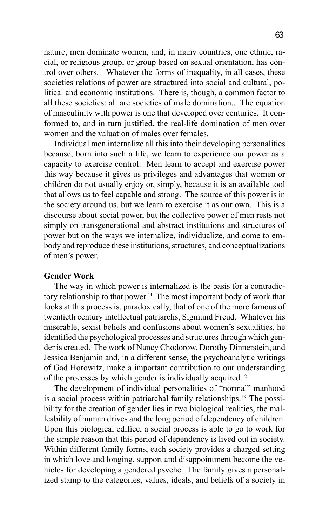nature, men dominate women, and, in many countries, one ethnic, racial, or religious group, or group based on sexual orientation, has control over others. Whatever the forms of inequality, in all cases, these societies relations of power are structured into social and cultural, political and economic institutions. There is, though, a common factor to all these societies: all are societies of male domination.. The equation of masculinity with power is one that developed over centuries. It conformed to, and in turn justified, the real-life domination of men over women and the valuation of males over females.

Individual men internalize all this into their developing personalities because, born into such a life, we learn to experience our power as a capacity to exercise control. Men learn to accept and exercise power this way because it gives us privileges and advantages that women or children do not usually enjoy or, simply, because it is an available tool that allows us to feel capable and strong. The source of this power is in the society around us, but we learn to exercise it as our own. This is a discourse about social power, but the collective power of men rests not simply on transgenerational and abstract institutions and structures of power but on the ways we internalize, individualize, and come to embody and reproduce these institutions, structures, and conceptualizations of men's power.

#### **Gender Work**

The way in which power is internalized is the basis for a contradictory relationship to that power.<sup>11</sup> The most important body of work that looks at this process is, paradoxically, that of one of the more famous of twentieth century intellectual patriarchs, Sigmund Freud. Whatever his miserable, sexist beliefs and confusions about women's sexualities, he identified the psychological processes and structures through which gender is created. The work of Nancy Chodorow, Dorothy Dinnerstein, and Jessica Benjamin and, in a different sense, the psychoanalytic writings of Gad Horowitz, make a important contribution to our understanding of the processes by which gender is individually acquired.12

The development of individual personalities of "normal" manhood is a social process within patriarchal family relationships.13 The possibility for the creation of gender lies in two biological realities, the malleability of human drives and the long period of dependency of children. Upon this biological edifice, a social process is able to go to work for the simple reason that this period of dependency is lived out in society. Within different family forms, each society provides a charged setting in which love and longing, support and disappointment become the vehicles for developing a gendered psyche. The family gives a personalized stamp to the categories, values, ideals, and beliefs of a society in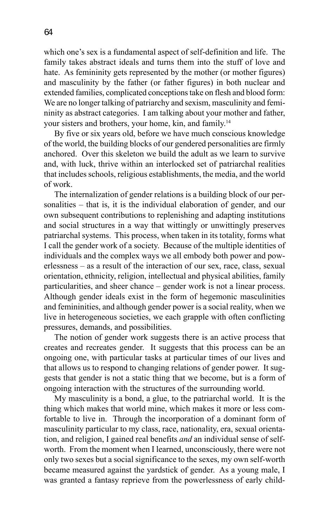which one's sex is a fundamental aspect of self-definition and life. The family takes abstract ideals and turns them into the stuff of love and hate. As femininity gets represented by the mother (or mother figures) and masculinity by the father (or father figures) in both nuclear and extended families, complicated conceptions take on flesh and blood form: We are no longer talking of patriarchy and sexism, masculinity and femininity as abstract categories. I am talking about your mother and father, your sisters and brothers, your home, kin, and family.14

By five or six years old, before we have much conscious knowledge of the world, the building blocks of our gendered personalities are firmly anchored. Over this skeleton we build the adult as we learn to survive and, with luck, thrive within an interlocked set of patriarchal realities that includes schools, religious establishments, the media, and the world of work.

The internalization of gender relations is a building block of our personalities – that is, it is the individual elaboration of gender, and our own subsequent contributions to replenishing and adapting institutions and social structures in a way that wittingly or unwittingly preserves patriarchal systems. This process, when taken in its totality, forms what I call the gender work of a society. Because of the multiple identities of individuals and the complex ways we all embody both power and powerlessness – as a result of the interaction of our sex, race, class, sexual orientation, ethnicity, religion, intellectual and physical abilities, family particularities, and sheer chance – gender work is not a linear process. Although gender ideals exist in the form of hegemonic masculinities and femininities, and although gender power is a social reality, when we live in heterogeneous societies, we each grapple with often conflicting pressures, demands, and possibilities.

The notion of gender work suggests there is an active process that creates and recreates gender. It suggests that this process can be an ongoing one, with particular tasks at particular times of our lives and that allows us to respond to changing relations of gender power. It suggests that gender is not a static thing that we become, but is a form of ongoing interaction with the structures of the surrounding world.

My masculinity is a bond, a glue, to the patriarchal world. It is the thing which makes that world mine, which makes it more or less comfortable to live in. Through the incorporation of a dominant form of masculinity particular to my class, race, nationality, era, sexual orientation, and religion, I gained real benefits *and* an individual sense of selfworth. From the moment when I learned, unconsciously, there were not only two sexes but a social significance to the sexes, my own self-worth became measured against the yardstick of gender. As a young male, I was granted a fantasy reprieve from the powerlessness of early child-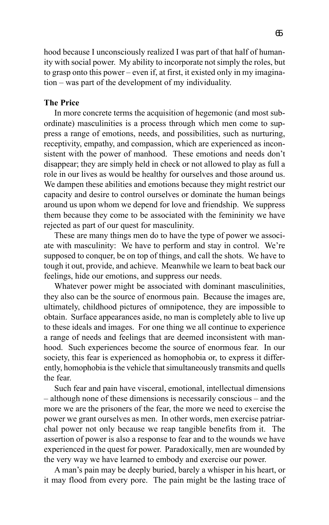hood because I unconsciously realized I was part of that half of humanity with social power. My ability to incorporate not simply the roles, but to grasp onto this power – even if, at first, it existed only in my imagination – was part of the development of my individuality.

#### **The Price**

In more concrete terms the acquisition of hegemonic (and most subordinate) masculinities is a process through which men come to suppress a range of emotions, needs, and possibilities, such as nurturing, receptivity, empathy, and compassion, which are experienced as inconsistent with the power of manhood. These emotions and needs don't disappear; they are simply held in check or not allowed to play as full a role in our lives as would be healthy for ourselves and those around us. We dampen these abilities and emotions because they might restrict our capacity and desire to control ourselves or dominate the human beings around us upon whom we depend for love and friendship. We suppress them because they come to be associated with the femininity we have rejected as part of our quest for masculinity.

These are many things men do to have the type of power we associate with masculinity: We have to perform and stay in control. We're supposed to conquer, be on top of things, and call the shots. We have to tough it out, provide, and achieve. Meanwhile we learn to beat back our feelings, hide our emotions, and suppress our needs.

Whatever power might be associated with dominant masculinities, they also can be the source of enormous pain. Because the images are, ultimately, childhood pictures of omnipotence, they are impossible to obtain. Surface appearances aside, no man is completely able to live up to these ideals and images. For one thing we all continue to experience a range of needs and feelings that are deemed inconsistent with manhood. Such experiences become the source of enormous fear. In our society, this fear is experienced as homophobia or, to express it differently, homophobia is the vehicle that simultaneously transmits and quells the fear.

Such fear and pain have visceral, emotional, intellectual dimensions – although none of these dimensions is necessarily conscious – and the more we are the prisoners of the fear, the more we need to exercise the power we grant ourselves as men. In other words, men exercise patriarchal power not only because we reap tangible benefits from it. The assertion of power is also a response to fear and to the wounds we have experienced in the quest for power. Paradoxically, men are wounded by the very way we have learned to embody and exercise our power.

A man's pain may be deeply buried, barely a whisper in his heart, or it may flood from every pore. The pain might be the lasting trace of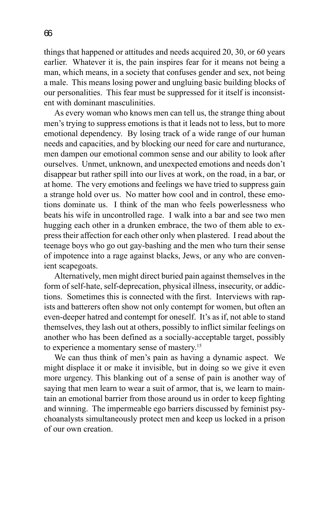things that happened or attitudes and needs acquired 20, 30, or 60 years earlier. Whatever it is, the pain inspires fear for it means not being a man, which means, in a society that confuses gender and sex, not being a male. This means losing power and ungluing basic building blocks of our personalities. This fear must be suppressed for it itself is inconsistent with dominant masculinities.

As every woman who knows men can tell us, the strange thing about men's trying to suppress emotions is that it leads not to less, but to more emotional dependency. By losing track of a wide range of our human needs and capacities, and by blocking our need for care and nurturance, men dampen our emotional common sense and our ability to look after ourselves. Unmet, unknown, and unexpected emotions and needs don't disappear but rather spill into our lives at work, on the road, in a bar, or at home. The very emotions and feelings we have tried to suppress gain a strange hold over us. No matter how cool and in control, these emotions dominate us. I think of the man who feels powerlessness who beats his wife in uncontrolled rage. I walk into a bar and see two men hugging each other in a drunken embrace, the two of them able to express their affection for each other only when plastered. I read about the teenage boys who go out gay-bashing and the men who turn their sense of impotence into a rage against blacks, Jews, or any who are convenient scapegoats.

Alternatively, men might direct buried pain against themselves in the form of self-hate, self-deprecation, physical illness, insecurity, or addictions. Sometimes this is connected with the first. Interviews with rapists and batterers often show not only contempt for women, but often an even-deeper hatred and contempt for oneself. It's as if, not able to stand themselves, they lash out at others, possibly to inflict similar feelings on another who has been defined as a socially-acceptable target, possibly to experience a momentary sense of mastery.15

We can thus think of men's pain as having a dynamic aspect. We might displace it or make it invisible, but in doing so we give it even more urgency. This blanking out of a sense of pain is another way of saying that men learn to wear a suit of armor, that is, we learn to maintain an emotional barrier from those around us in order to keep fighting and winning. The impermeable ego barriers discussed by feminist psychoanalysts simultaneously protect men and keep us locked in a prison of our own creation.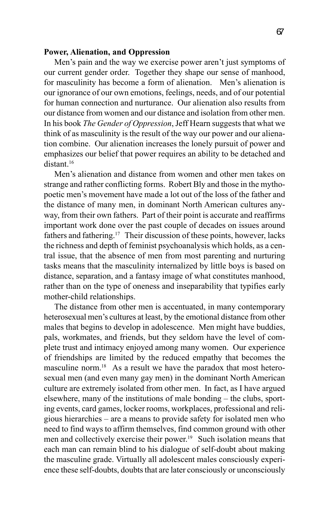#### **Power, Alienation, and Oppression**

Men's pain and the way we exercise power aren't just symptoms of our current gender order. Together they shape our sense of manhood, for masculinity has become a form of alienation. Men's alienation is our ignorance of our own emotions, feelings, needs, and of our potential for human connection and nurturance. Our alienation also results from our distance from women and our distance and isolation from other men. In his book *The Gender of Oppression*, Jeff Hearn suggests that what we think of as masculinity is the result of the way our power and our alienation combine. Our alienation increases the lonely pursuit of power and emphasizes our belief that power requires an ability to be detached and distant<sup>16</sup>

Men's alienation and distance from women and other men takes on strange and rather conflicting forms. Robert Bly and those in the mythopoetic men's movement have made a lot out of the loss of the father and the distance of many men, in dominant North American cultures anyway, from their own fathers. Part of their point is accurate and reaffirms important work done over the past couple of decades on issues around fathers and fathering.<sup>17</sup> Their discussion of these points, however, lacks the richness and depth of feminist psychoanalysis which holds, as a central issue, that the absence of men from most parenting and nurturing tasks means that the masculinity internalized by little boys is based on distance, separation, and a fantasy image of what constitutes manhood, rather than on the type of oneness and inseparability that typifies early mother-child relationships.

The distance from other men is accentuated, in many contemporary heterosexual men's cultures at least, by the emotional distance from other males that begins to develop in adolescence. Men might have buddies, pals, workmates, and friends, but they seldom have the level of complete trust and intimacy enjoyed among many women. Our experience of friendships are limited by the reduced empathy that becomes the masculine norm.<sup>18</sup> As a result we have the paradox that most heterosexual men (and even many gay men) in the dominant North American culture are extremely isolated from other men. In fact, as I have argued elsewhere, many of the institutions of male bonding – the clubs, sporting events, card games, locker rooms, workplaces, professional and religious hierarchies – are a means to provide safety for isolated men who need to find ways to affirm themselves, find common ground with other men and collectively exercise their power.<sup>19</sup> Such isolation means that each man can remain blind to his dialogue of self-doubt about making the masculine grade. Virtually all adolescent males consciously experience these self-doubts, doubts that are later consciously or unconsciously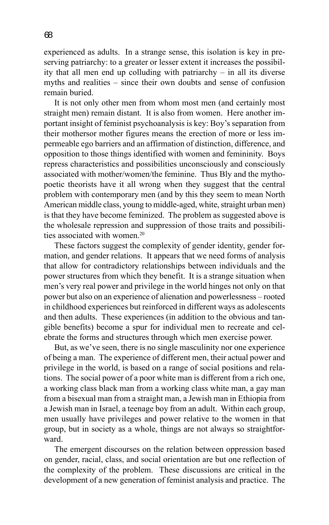experienced as adults. In a strange sense, this isolation is key in preserving patriarchy: to a greater or lesser extent it increases the possibility that all men end up colluding with patriarchy – in all its diverse myths and realities – since their own doubts and sense of confusion remain buried.

It is not only other men from whom most men (and certainly most straight men) remain distant. It is also from women. Here another important insight of feminist psychoanalysis is key: Boy's separation from their mothersor mother figures means the erection of more or less impermeable ego barriers and an affirmation of distinction, difference, and opposition to those things identified with women and femininity. Boys repress characteristics and possibilities unconsciously and consciously associated with mother/women/the feminine. Thus Bly and the mythopoetic theorists have it all wrong when they suggest that the central problem with contemporary men (and by this they seem to mean North American middle class, young to middle-aged, white, straight urban men) is that they have become feminized. The problem as suggested above is the wholesale repression and suppression of those traits and possibilities associated with women  $20$ 

These factors suggest the complexity of gender identity, gender formation, and gender relations. It appears that we need forms of analysis that allow for contradictory relationships between individuals and the power structures from which they benefit. It is a strange situation when men's very real power and privilege in the world hinges not only on that power but also on an experience of alienation and powerlessness – rooted in childhood experiences but reinforced in different ways as adolescents and then adults. These experiences (in addition to the obvious and tangible benefits) become a spur for individual men to recreate and celebrate the forms and structures through which men exercise power.

But, as we've seen, there is no single masculinity nor one experience of being a man. The experience of different men, their actual power and privilege in the world, is based on a range of social positions and relations. The social power of a poor white man is different from a rich one, a working class black man from a working class white man, a gay man from a bisexual man from a straight man, a Jewish man in Ethiopia from a Jewish man in Israel, a teenage boy from an adult. Within each group, men usually have privileges and power relative to the women in that group, but in society as a whole, things are not always so straightforward.

The emergent discourses on the relation between oppression based on gender, racial, class, and social orientation are but one reflection of the complexity of the problem. These discussions are critical in the development of a new generation of feminist analysis and practice. The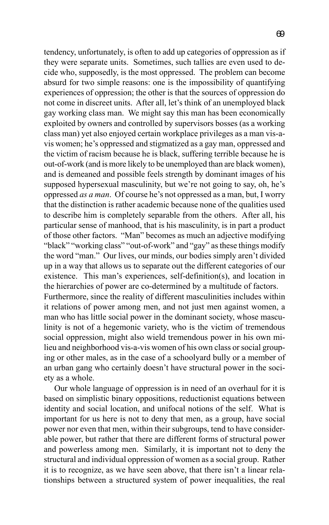tendency, unfortunately, is often to add up categories of oppression as if they were separate units. Sometimes, such tallies are even used to decide who, supposedly, is the most oppressed. The problem can become absurd for two simple reasons: one is the impossibility of quantifying experiences of oppression; the other is that the sources of oppression do not come in discreet units. After all, let's think of an unemployed black gay working class man. We might say this man has been economically exploited by owners and controlled by supervisors bosses (as a working class man) yet also enjoyed certain workplace privileges as a man vis-avis women; he's oppressed and stigmatized as a gay man, oppressed and the victim of racism because he is black, suffering terrible because he is out-of-work (and is more likely to be unemployed than are black women), and is demeaned and possible feels strength by dominant images of his supposed hypersexual masculinity, but we're not going to say, oh, he's oppressed *as a man*. Of course he's not oppressed as a man, but, I worry that the distinction is rather academic because none of the qualities used to describe him is completely separable from the others. After all, his particular sense of manhood, that is his masculinity, is in part a product of those other factors. "Man" becomes as much an adjective modifying "black" "working class" "out-of-work" and "gay" as these things modify the word "man." Our lives, our minds, our bodies simply aren't divided up in a way that allows us to separate out the different categories of our existence. This man's experiences, self-definition(s), and location in the hierarchies of power are co-determined by a multitude of factors. Furthermore, since the reality of different masculinities includes within it relations of power among men, and not just men against women, a man who has little social power in the dominant society, whose masculinity is not of a hegemonic variety, who is the victim of tremendous social oppression, might also wield tremendous power in his own milieu and neighborhood vis-a-vis women of his own class or social grouping or other males, as in the case of a schoolyard bully or a member of an urban gang who certainly doesn't have structural power in the society as a whole.

Our whole language of oppression is in need of an overhaul for it is based on simplistic binary oppositions, reductionist equations between identity and social location, and unifocal notions of the self. What is important for us here is not to deny that men, as a group, have social power nor even that men, within their subgroups, tend to have considerable power, but rather that there are different forms of structural power and powerless among men. Similarly, it is important not to deny the structural and individual oppression of women as a social group. Rather it is to recognize, as we have seen above, that there isn't a linear relationships between a structured system of power inequalities, the real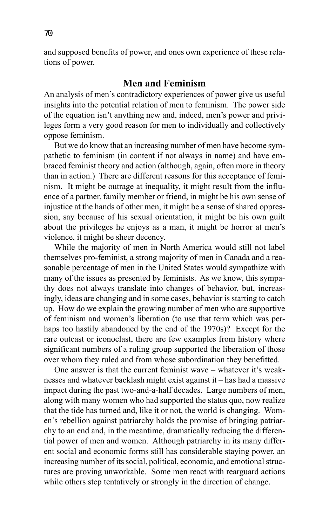and supposed benefits of power, and ones own experience of these relations of power.

## **Men and Feminism**

An analysis of men's contradictory experiences of power give us useful insights into the potential relation of men to feminism. The power side of the equation isn't anything new and, indeed, men's power and privileges form a very good reason for men to individually and collectively oppose feminism.

But we do know that an increasing number of men have become sympathetic to feminism (in content if not always in name) and have embraced feminist theory and action (although, again, often more in theory than in action.) There are different reasons for this acceptance of feminism. It might be outrage at inequality, it might result from the influence of a partner, family member or friend, in might be his own sense of injustice at the hands of other men, it might be a sense of shared oppression, say because of his sexual orientation, it might be his own guilt about the privileges he enjoys as a man, it might be horror at men's violence, it might be sheer decency.

While the majority of men in North America would still not label themselves pro-feminist, a strong majority of men in Canada and a reasonable percentage of men in the United States would sympathize with many of the issues as presented by feminists. As we know, this sympathy does not always translate into changes of behavior, but, increasingly, ideas are changing and in some cases, behavior is starting to catch up. How do we explain the growing number of men who are supportive of feminism and women's liberation (to use that term which was perhaps too hastily abandoned by the end of the 1970s)? Except for the rare outcast or iconoclast, there are few examples from history where significant numbers of a ruling group supported the liberation of those over whom they ruled and from whose subordination they benefitted.

One answer is that the current feminist wave – whatever it's weaknesses and whatever backlash might exist against it – has had a massive impact during the past two-and-a-half decades. Large numbers of men, along with many women who had supported the status quo, now realize that the tide has turned and, like it or not, the world is changing. Women's rebellion against patriarchy holds the promise of bringing patriarchy to an end and, in the meantime, dramatically reducing the differential power of men and women. Although patriarchy in its many different social and economic forms still has considerable staying power, an increasing number of its social, political, economic, and emotional structures are proving unworkable. Some men react with rearguard actions while others step tentatively or strongly in the direction of change.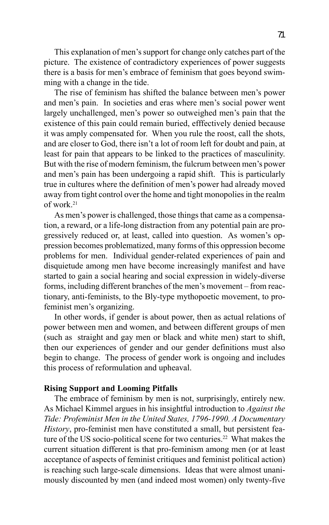This explanation of men's support for change only catches part of the picture. The existence of contradictory experiences of power suggests there is a basis for men's embrace of feminism that goes beyond swimming with a change in the tide.

The rise of feminism has shifted the balance between men's power and men's pain. In societies and eras where men's social power went largely unchallenged, men's power so outweighed men's pain that the existence of this pain could remain buried, efffectively denied because it was amply compensated for. When you rule the roost, call the shots, and are closer to God, there isn't a lot of room left for doubt and pain, at least for pain that appears to be linked to the practices of masculinity. But with the rise of modern feminism, the fulcrum between men's power and men's pain has been undergoing a rapid shift. This is particularly true in cultures where the definition of men's power had already moved away from tight control over the home and tight monopolies in the realm of work.21

As men's power is challenged, those things that came as a compensation, a reward, or a life-long distraction from any potential pain are progressively reduced or, at least, called into question. As women's oppression becomes problematized, many forms of this oppression become problems for men. Individual gender-related experiences of pain and disquietude among men have become increasingly manifest and have started to gain a social hearing and social expression in widely-diverse forms, including different branches of the men's movement – from reactionary, anti-feminists, to the Bly-type mythopoetic movement, to profeminist men's organizing.

In other words, if gender is about power, then as actual relations of power between men and women, and between different groups of men (such as straight and gay men or black and white men) start to shift, then our experiences of gender and our gender definitions must also begin to change. The process of gender work is ongoing and includes this process of reformulation and upheaval.

#### **Rising Support and Looming Pitfalls**

The embrace of feminism by men is not, surprisingly, entirely new. As Michael Kimmel argues in his insightful introduction to *Against the Tide: Profeminist Men in the United States, 1796-1990. A Documentary History*, pro-feminist men have constituted a small, but persistent feature of the US socio-political scene for two centuries.<sup>22</sup> What makes the current situation different is that pro-feminism among men (or at least acceptance of aspects of feminist critiques and feminist political action) is reaching such large-scale dimensions. Ideas that were almost unanimously discounted by men (and indeed most women) only twenty-five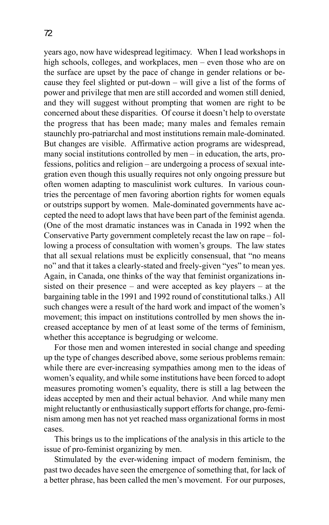years ago, now have widespread legitimacy. When I lead workshops in high schools, colleges, and workplaces, men – even those who are on the surface are upset by the pace of change in gender relations or because they feel slighted or put-down – will give a list of the forms of power and privilege that men are still accorded and women still denied, and they will suggest without prompting that women are right to be concerned about these disparities. Of course it doesn't help to overstate the progress that has been made; many males and females remain staunchly pro-patriarchal and most institutions remain male-dominated. But changes are visible. Affirmative action programs are widespread, many social institutions controlled by men – in education, the arts, professions, politics and religion – are undergoing a process of sexual integration even though this usually requires not only ongoing pressure but often women adapting to masculinist work cultures. In various countries the percentage of men favoring abortion rights for women equals or outstrips support by women. Male-dominated governments have accepted the need to adopt laws that have been part of the feminist agenda. (One of the most dramatic instances was in Canada in 1992 when the Conservative Party government completely recast the law on rape – following a process of consultation with women's groups. The law states that all sexual relations must be explicitly consensual, that "no means no" and that it takes a clearly-stated and freely-given "yes" to mean yes. Again, in Canada, one thinks of the way that feminist organizations insisted on their presence – and were accepted as key players – at the bargaining table in the 1991 and 1992 round of constitutional talks.) All such changes were a result of the hard work and impact of the women's movement; this impact on institutions controlled by men shows the increased acceptance by men of at least some of the terms of feminism, whether this acceptance is begrudging or welcome.

For those men and women interested in social change and speeding up the type of changes described above, some serious problems remain: while there are ever-increasing sympathies among men to the ideas of women's equality, and while some institutions have been forced to adopt measures promoting women's equality, there is still a lag between the ideas accepted by men and their actual behavior. And while many men might reluctantly or enthusiastically support efforts for change, pro-feminism among men has not yet reached mass organizational forms in most cases.

This brings us to the implications of the analysis in this article to the issue of pro-feminist organizing by men.

Stimulated by the ever-widening impact of modern feminism, the past two decades have seen the emergence of something that, for lack of a better phrase, has been called the men's movement. For our purposes,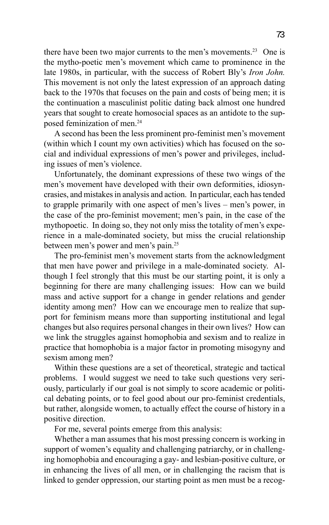there have been two major currents to the men's movements.<sup>23</sup> One is the mytho-poetic men's movement which came to prominence in the late 1980s, in particular, with the success of Robert Bly's *Iron John.* This movement is not only the latest expression of an approach dating back to the 1970s that focuses on the pain and costs of being men; it is the continuation a masculinist politic dating back almost one hundred years that sought to create homosocial spaces as an antidote to the supposed feminization of men.24

A second has been the less prominent pro-feminist men's movement (within which I count my own activities) which has focused on the social and individual expressions of men's power and privileges, including issues of men's violence.

Unfortunately, the dominant expressions of these two wings of the men's movement have developed with their own deformities, idiosyncrasies, and mistakes in analysis and action. In particular, each has tended to grapple primarily with one aspect of men's lives – men's power, in the case of the pro-feminist movement; men's pain, in the case of the mythopoetic. In doing so, they not only miss the totality of men's experience in a male-dominated society, but miss the crucial relationship between men's power and men's pain.<sup>25</sup>

The pro-feminist men's movement starts from the acknowledgment that men have power and privilege in a male-dominated society. Although I feel strongly that this must be our starting point, it is only a beginning for there are many challenging issues: How can we build mass and active support for a change in gender relations and gender identity among men? How can we encourage men to realize that support for feminism means more than supporting institutional and legal changes but also requires personal changes in their own lives? How can we link the struggles against homophobia and sexism and to realize in practice that homophobia is a major factor in promoting misogyny and sexism among men?

Within these questions are a set of theoretical, strategic and tactical problems. I would suggest we need to take such questions very seriously, particularly if our goal is not simply to score academic or political debating points, or to feel good about our pro-feminist credentials, but rather, alongside women, to actually effect the course of history in a positive direction.

For me, several points emerge from this analysis:

Whether a man assumes that his most pressing concern is working in support of women's equality and challenging patriarchy, or in challenging homophobia and encouraging a gay- and lesbian-positive culture, or in enhancing the lives of all men, or in challenging the racism that is linked to gender oppression, our starting point as men must be a recog-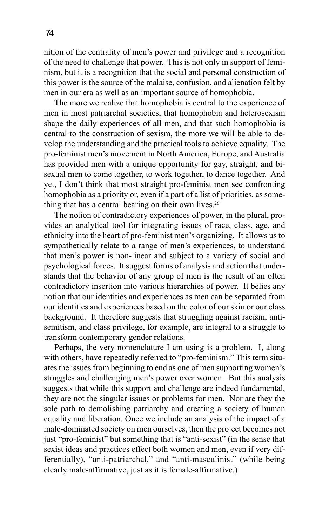nition of the centrality of men's power and privilege and a recognition of the need to challenge that power. This is not only in support of feminism, but it is a recognition that the social and personal construction of this power is the source of the malaise, confusion, and alienation felt by men in our era as well as an important source of homophobia.

The more we realize that homophobia is central to the experience of men in most patriarchal societies, that homophobia and heterosexism shape the daily experiences of all men, and that such homophobia is central to the construction of sexism, the more we will be able to develop the understanding and the practical tools to achieve equality. The pro-feminist men's movement in North America, Europe, and Australia has provided men with a unique opportunity for gay, straight, and bisexual men to come together, to work together, to dance together. And yet, I don't think that most straight pro-feminist men see confronting homophobia as a priority or, even if a part of a list of priorities, as something that has a central bearing on their own lives.<sup>26</sup>

The notion of contradictory experiences of power, in the plural, provides an analytical tool for integrating issues of race, class, age, and ethnicity into the heart of pro-feminist men's organizing. It allows us to sympathetically relate to a range of men's experiences, to understand that men's power is non-linear and subject to a variety of social and psychological forces. It suggest forms of analysis and action that understands that the behavior of any group of men is the result of an often contradictory insertion into various hierarchies of power. It belies any notion that our identities and experiences as men can be separated from our identities and experiences based on the color of our skin or our class background. It therefore suggests that struggling against racism, antisemitism, and class privilege, for example, are integral to a struggle to transform contemporary gender relations.

Perhaps, the very nomenclature I am using is a problem. I, along with others, have repeatedly referred to "pro-feminism." This term situates the issues from beginning to end as one of men supporting women's struggles and challenging men's power over women. But this analysis suggests that while this support and challenge are indeed fundamental, they are not the singular issues or problems for men. Nor are they the sole path to demolishing patriarchy and creating a society of human equality and liberation. Once we include an analysis of the impact of a male-dominated society on men ourselves, then the project becomes not just "pro-feminist" but something that is "anti-sexist" (in the sense that sexist ideas and practices effect both women and men, even if very differentially), "anti-patriarchal," and "anti-masculinist" (while being clearly male-affirmative, just as it is female-affirmative.)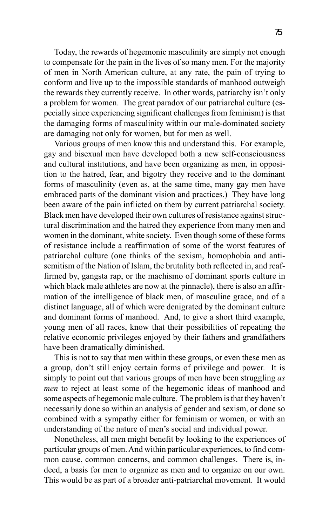Today, the rewards of hegemonic masculinity are simply not enough to compensate for the pain in the lives of so many men. For the majority of men in North American culture, at any rate, the pain of trying to conform and live up to the impossible standards of manhood outweigh the rewards they currently receive. In other words, patriarchy isn't only a problem for women. The great paradox of our patriarchal culture (especially since experiencing significant challenges from feminism) is that the damaging forms of masculinity within our male-dominated society are damaging not only for women, but for men as well.

Various groups of men know this and understand this. For example, gay and bisexual men have developed both a new self-consciousness and cultural institutions, and have been organizing as men, in opposition to the hatred, fear, and bigotry they receive and to the dominant forms of masculinity (even as, at the same time, many gay men have embraced parts of the dominant vision and practices.) They have long been aware of the pain inflicted on them by current patriarchal society. Black men have developed their own cultures of resistance against structural discrimination and the hatred they experience from many men and women in the dominant, white society. Even though some of these forms of resistance include a reaffirmation of some of the worst features of patriarchal culture (one thinks of the sexism, homophobia and antisemitism of the Nation of Islam, the brutality both reflected in, and reaffirmed by, gangsta rap, or the machismo of dominant sports culture in which black male athletes are now at the pinnacle), there is also an affirmation of the intelligence of black men, of masculine grace, and of a distinct language, all of which were denigrated by the dominant culture and dominant forms of manhood. And, to give a short third example, young men of all races, know that their possibilities of repeating the relative economic privileges enjoyed by their fathers and grandfathers have been dramatically diminished.

This is not to say that men within these groups, or even these men as a group, don't still enjoy certain forms of privilege and power. It is simply to point out that various groups of men have been struggling *as men* to reject at least some of the hegemonic ideas of manhood and some aspects of hegemonic male culture. The problem is that they haven't necessarily done so within an analysis of gender and sexism, or done so combined with a sympathy either for feminism or women, or with an understanding of the nature of men's social and individual power.

Nonetheless, all men might benefit by looking to the experiences of particular groups of men. And within particular experiences, to find common cause, common concerns, and common challenges. There is, indeed, a basis for men to organize as men and to organize on our own. This would be as part of a broader anti-patriarchal movement. It would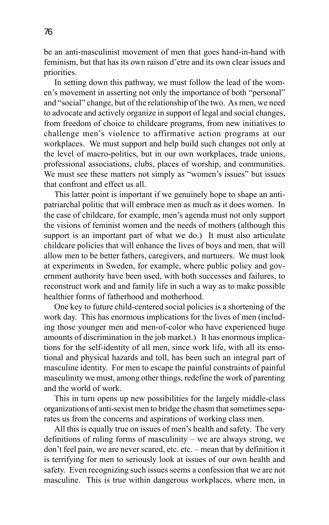be an anti-masculinist movement of men that goes hand-in-hand with feminism, but that has its own raison d'etre and its own clear issues and priorities.

In setting down this pathway, we must follow the lead of the women's movement in asserting not only the importance of both "personal" and "social" change, but of the relationship of the two. As men, we need to advocate and actively organize in support of legal and social changes, from freedom of choice to childcare programs, from new initiatives to challenge men's violence to affirmative action programs at our workplaces. We must support and help build such changes not only at the level of macro-politics, but in our own workplaces, trade unions, professional associations, clubs, places of worship, and communities. We must see these matters not simply as "women's issues" but issues that confront and effect us all.

This latter point is important if we genuinely hope to shape an antipatriarchal politic that will embrace men as much as it does women. In the case of childcare, for example, men's agenda must not only support the visions of feminist women and the needs of mothers (although this support is an important part of what we do.) It must also articulate childcare policies that will enhance the lives of boys and men, that will allow men to be better fathers, caregivers, and nurturers. We must look at experiments in Sweden, for example, where public policy and government authority have been used, with both successes and failures, to reconstruct work and and family life in such a way as to make possible healthier forms of fatherhood and motherhood.

One key to future child-centered social policies is a shortening of the work day. This has enormous implications for the lives of men (including those younger men and men-of-color who have experienced huge amounts of discrimination in the job market.) It has enormous implications for the self-identity of all men, since work life, with all its emotional and physical hazards and toll, has been such an integral part of masculine identity. For men to escape the painful constraints of painful masculinity we must, among other things, redefine the work of parenting and the world of work.

This in turn opens up new possibilities for the largely middle-class organizations of anti-sexist men to bridge the chasm that sometimes separates us from the concerns and aspirations of working class men.

All this is equally true on issues of men's health and safety. The very definitions of ruling forms of masculinity – we are always strong, we don't feel pain, we are never scared, etc. etc. – mean that by definition it is terrifying for men to seriously look at issues of our own health and safety. Even recognizing such issues seems a confession that we are not masculine. This is true within dangerous workplaces, where men, in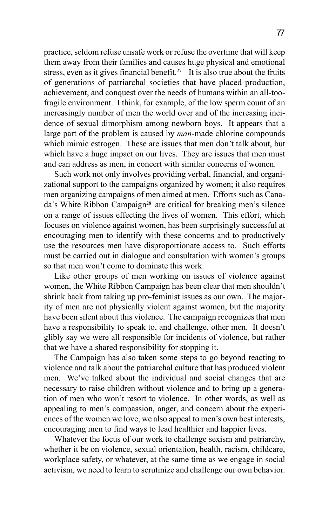practice, seldom refuse unsafe work or refuse the overtime that will keep them away from their families and causes huge physical and emotional stress, even as it gives financial benefit.<sup>27</sup> It is also true about the fruits of generations of patriarchal societies that have placed production, achievement, and conquest over the needs of humans within an all-toofragile environment. I think, for example, of the low sperm count of an increasingly number of men the world over and of the increasing incidence of sexual dimorphism among newborn boys. It appears that a large part of the problem is caused by *man*-made chlorine compounds which mimic estrogen. These are issues that men don't talk about, but which have a huge impact on our lives. They are issues that men must and can address as men, in concert with similar concerns of women.

Such work not only involves providing verbal, financial, and organizational support to the campaigns organized by women; it also requires men organizing campaigns of men aimed at men. Efforts such as Canada's White Ribbon Campaign<sup>28</sup> are critical for breaking men's silence on a range of issues effecting the lives of women. This effort, which focuses on violence against women, has been surprisingly successful at encouraging men to identify with these concerns and to productively use the resources men have disproportionate access to. Such efforts must be carried out in dialogue and consultation with women's groups so that men won't come to dominate this work.

Like other groups of men working on issues of violence against women, the White Ribbon Campaign has been clear that men shouldn't shrink back from taking up pro-feminist issues as our own. The majority of men are not physically violent against women, but the majority have been silent about this violence. The campaign recognizes that men have a responsibility to speak to, and challenge, other men. It doesn't glibly say we were all responsible for incidents of violence, but rather that we have a shared responsibility for stopping it.

The Campaign has also taken some steps to go beyond reacting to violence and talk about the patriarchal culture that has produced violent men. We've talked about the individual and social changes that are necessary to raise children without violence and to bring up a generation of men who won't resort to violence. In other words, as well as appealing to men's compassion, anger, and concern about the experiences of the women we love, we also appeal to men's own best interests, encouraging men to find ways to lead healthier and happier lives.

Whatever the focus of our work to challenge sexism and patriarchy, whether it be on violence, sexual orientation, health, racism, childcare, workplace safety, or whatever, at the same time as we engage in social activism, we need to learn to scrutinize and challenge our own behavior.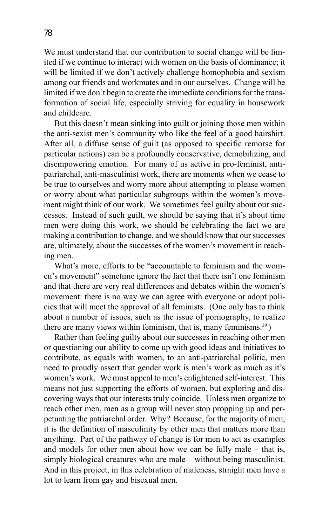We must understand that our contribution to social change will be limited if we continue to interact with women on the basis of dominance; it will be limited if we don't actively challenge homophobia and sexism among our friends and workmates and in our ourselves. Change will be limited if we don't begin to create the immediate conditions for the transformation of social life, especially striving for equality in housework and childcare.

But this doesn't mean sinking into guilt or joining those men within the anti-sexist men's community who like the feel of a good hairshirt. After all, a diffuse sense of guilt (as opposed to specific remorse for particular actions) can be a profoundly conservative, demobilizing, and disempowering emotion. For many of us active in pro-feminist, antipatriarchal, anti-masculinist work, there are moments when we cease to be true to ourselves and worry more about attempting to please women or worry about what particular subgroups within the women's movement might think of our work. We sometimes feel guilty about our successes. Instead of such guilt, we should be saying that it's about time men were doing this work, we should be celebrating the fact we are making a contribution to change, and we should know that our successes are, ultimately, about the successes of the women's movement in reaching men.

What's more, efforts to be "accountable to feminism and the women's movement" sometime ignore the fact that there isn't one feminism and that there are very real differences and debates within the women's movement: there is no way we can agree with everyone or adopt policies that will meet the approval of all feminists. (One only has to think about a number of issues, such as the issue of pornography, to realize there are many views within feminism, that is, many feminisms.<sup>29</sup>)

Rather than feeling guilty about our successes in reaching other men or questioning our ability to come up with good ideas and initiatives to contribute, as equals with women, to an anti-patriarchal politic, men need to proudly assert that gender work is men's work as much as it's women's work. We must appeal to men's enlightened self-interest. This means not just supporting the efforts of women, but exploring and discovering ways that our interests truly coincide. Unless men organize to reach other men, men as a group will never stop propping up and perpetuating the patriarchal order. Why? Because, for the majority of men, it is the definition of masculinity by other men that matters more than anything. Part of the pathway of change is for men to act as examples and models for other men about how we can be fully male – that is, simply biological creatures who are male – without being masculinist. And in this project, in this celebration of maleness, straight men have a lot to learn from gay and bisexual men.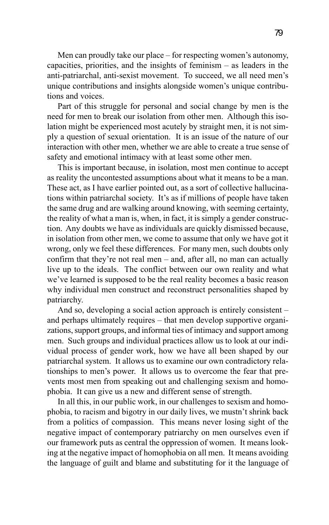Men can proudly take our place – for respecting women's autonomy, capacities, priorities, and the insights of feminism – as leaders in the anti-patriarchal, anti-sexist movement. To succeed, we all need men's unique contributions and insights alongside women's unique contributions and voices.

Part of this struggle for personal and social change by men is the need for men to break our isolation from other men. Although this isolation might be experienced most acutely by straight men, it is not simply a question of sexual orientation. It is an issue of the nature of our interaction with other men, whether we are able to create a true sense of safety and emotional intimacy with at least some other men.

This is important because, in isolation, most men continue to accept as reality the uncontested assumptions about what it means to be a man. These act, as I have earlier pointed out, as a sort of collective hallucinations within patriarchal society. It's as if millions of people have taken the same drug and are walking around knowing, with seeming certainty, the reality of what a man is, when, in fact, it is simply a gender construction. Any doubts we have as individuals are quickly dismissed because, in isolation from other men, we come to assume that only we have got it wrong, only we feel these differences. For many men, such doubts only confirm that they're not real men – and, after all, no man can actually live up to the ideals. The conflict between our own reality and what we've learned is supposed to be the real reality becomes a basic reason why individual men construct and reconstruct personalities shaped by patriarchy.

And so, developing a social action approach is entirely consistent – and perhaps ultimately requires – that men develop supportive organizations, support groups, and informal ties of intimacy and support among men. Such groups and individual practices allow us to look at our individual process of gender work, how we have all been shaped by our patriarchal system. It allows us to examine our own contradictory relationships to men's power. It allows us to overcome the fear that prevents most men from speaking out and challenging sexism and homophobia. It can give us a new and different sense of strength.

In all this, in our public work, in our challenges to sexism and homophobia, to racism and bigotry in our daily lives, we mustn't shrink back from a politics of compassion. This means never losing sight of the negative impact of contemporary patriarchy on men ourselves even if our framework puts as central the oppression of women. It means looking at the negative impact of homophobia on all men. It means avoiding the language of guilt and blame and substituting for it the language of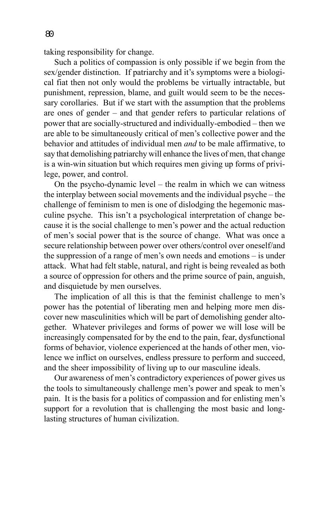taking responsibility for change.

Such a politics of compassion is only possible if we begin from the sex/gender distinction. If patriarchy and it's symptoms were a biological fiat then not only would the problems be virtually intractable, but punishment, repression, blame, and guilt would seem to be the necessary corollaries. But if we start with the assumption that the problems are ones of gender – and that gender refers to particular relations of power that are socially-structured and individually-embodied – then we are able to be simultaneously critical of men's collective power and the behavior and attitudes of individual men *and* to be male affirmative, to say that demolishing patriarchy will enhance the lives of men, that change is a win-win situation but which requires men giving up forms of privilege, power, and control.

On the psycho-dynamic level – the realm in which we can witness the interplay between social movements and the individual psyche – the challenge of feminism to men is one of dislodging the hegemonic masculine psyche. This isn't a psychological interpretation of change because it is the social challenge to men's power and the actual reduction of men's social power that is the source of change. What was once a secure relationship between power over others/control over oneself/and the suppression of a range of men's own needs and emotions – is under attack. What had felt stable, natural, and right is being revealed as both a source of oppression for others and the prime source of pain, anguish, and disquietude by men ourselves.

The implication of all this is that the feminist challenge to men's power has the potential of liberating men and helping more men discover new masculinities which will be part of demolishing gender altogether. Whatever privileges and forms of power we will lose will be increasingly compensated for by the end to the pain, fear, dysfunctional forms of behavior, violence experienced at the hands of other men, violence we inflict on ourselves, endless pressure to perform and succeed, and the sheer impossibility of living up to our masculine ideals.

Our awareness of men's contradictory experiences of power gives us the tools to simultaneously challenge men's power and speak to men's pain. It is the basis for a politics of compassion and for enlisting men's support for a revolution that is challenging the most basic and longlasting structures of human civilization.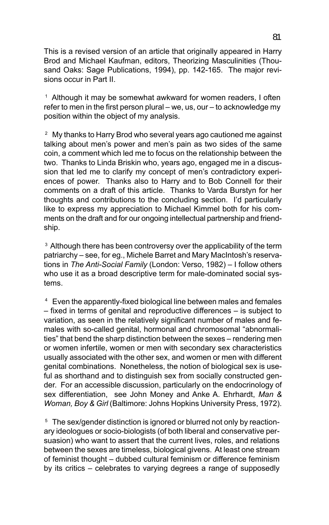This is a revised version of an article that originally appeared in Harry Brod and Michael Kaufman, editors, Theorizing Masculinities (Thousand Oaks: Sage Publications, 1994), pp. 142-165. The major revisions occur in Part II.

<sup>1</sup> Although it may be somewhat awkward for women readers, I often refer to men in the first person plural – we, us, our – to acknowledge my position within the object of my analysis.

 $2$  My thanks to Harry Brod who several years ago cautioned me against talking about men's power and men's pain as two sides of the same coin, a comment which led me to focus on the relationship between the two. Thanks to Linda Briskin who, years ago, engaged me in a discussion that led me to clarify my concept of men's contradictory experiences of power. Thanks also to Harry and to Bob Connell for their comments on a draft of this article. Thanks to Varda Burstyn for her thoughts and contributions to the concluding section. I'd particularly like to express my appreciation to Michael Kimmel both for his comments on the draft and for our ongoing intellectual partnership and friendship.

 $3$  Although there has been controversy over the applicability of the term patriarchy – see, for eg., Michele Barret and Mary MacIntosh's reservations in *The Anti-Social Family* (London: Verso, 1982) – I follow others who use it as a broad descriptive term for male-dominated social systems.

4 Even the apparently-fixed biological line between males and females – fixed in terms of genital and reproductive differences – is subject to variation, as seen in the relatively significant number of males and females with so-called genital, hormonal and chromosomal "abnormalities" that bend the sharp distinction between the sexes – rendering men or women infertile, women or men with secondary sex characteristics usually associated with the other sex, and women or men with different genital combinations. Nonetheless, the notion of biological sex is useful as shorthand and to distinguish sex from socially constructed gender. For an accessible discussion, particularly on the endocrinology of sex differentiation, see John Money and Anke A. Ehrhardt, *Man & Woman, Boy & Girl* (Baltimore: Johns Hopkins University Press, 1972).

<sup>5</sup> The sex/gender distinction is ignored or blurred not only by reactionary ideologues or socio-biologists (of both liberal and conservative persuasion) who want to assert that the current lives, roles, and relations between the sexes are timeless, biological givens. At least one stream of feminist thought – dubbed cultural feminism or difference feminism by its critics – celebrates to varying degrees a range of supposedly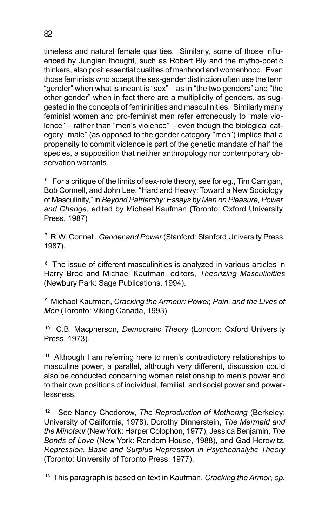timeless and natural female qualities. Similarly, some of those influenced by Jungian thought, such as Robert Bly and the mytho-poetic thinkers, also posit essential qualities of manhood and womanhood. Even those feminists who accept the sex-gender distinction often use the term "gender" when what is meant is "sex" – as in "the two genders" and "the other gender" when in fact there are a multiplicity of genders, as suggested in the concepts of femininities and masculinities. Similarly many feminist women and pro-feminist men refer erroneously to "male violence" – rather than "men's violence" – even though the biological category "male" (as opposed to the gender category "men") implies that a propensity to commit violence is part of the genetic mandate of half the species, a supposition that neither anthropology nor contemporary observation warrants.

 $6$  For a critique of the limits of sex-role theory, see for eg., Tim Carrigan, Bob Connell, and John Lee, "Hard and Heavy: Toward a New Sociology of Masculinity," in *Beyond Patriarchy: Essays by Men on Pleasure, Power and Change*, edited by Michael Kaufman (Toronto: Oxford University Press, 1987)

7 R.W. Connell, *Gender and Power* (Stanford: Stanford University Press, 1987).

<sup>8</sup> The issue of different masculinities is analyzed in various articles in Harry Brod and Michael Kaufman, editors, *Theorizing Masculinities* (Newbury Park: Sage Publications, 1994).

9 Michael Kaufman, *Cracking the Armour: Power, Pain, and the Lives of Men* (Toronto: Viking Canada, 1993).

10 C.B. Macpherson, *Democratic Theory* (London: Oxford University Press, 1973).

<sup>11</sup> Although I am referring here to men's contradictory relationships to masculine power, a parallel, although very different, discussion could also be conducted concerning women relationship to men's power and to their own positions of individual, familial, and social power and powerlessness.

12 See Nancy Chodorow, *The Reproduction of Mothering* (Berkeley: University of California, 1978), Dorothy Dinnerstein, *The Mermaid and the Minotaur* (New York: Harper Colophon, 1977), Jessica Benjamin, *The Bonds of Love* (New York: Random House, 1988), and Gad Horowitz, *Repression. Basic and Surplus Repression in Psychoanalytic Theory* (Toronto: University of Toronto Press, 1977).

13 This paragraph is based on text in Kaufman, *Cracking the Armor*, *op.*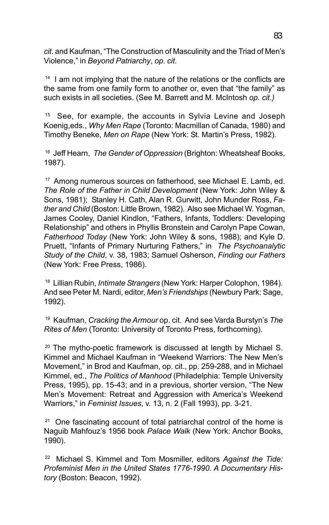*cit*. and Kaufman, "The Construction of Masculinity and the Triad of Men's Violence," in *Beyond Patriarchy*, *op. cit.*

 $14$  I am not implying that the nature of the relations or the conflicts are the same from one family form to another or, even that "the family" as such exists in all societies. (See M. Barrett and M. McIntosh *op. cit.)*

<sup>15</sup> See, for example, the accounts in Sylvia Levine and Joseph Koenig,eds., *Why Men Rape* (Toronto: Macmillan of Canada, 1980) and Timothy Beneke, *Men on Rape* (New York: St. Martin's Press, 1982).

16 Jeff Hearn, *The Gender of Oppression* (Brighton: Wheatsheaf Books, 1987).

<sup>17</sup> Among numerous sources on fatherhood, see Michael E. Lamb, ed. *The Role of the Father in Child Development* (New York: John Wiley & Sons, 1981); Stanley H. Cath, Alan R. Gurwitt, John Munder Ross, *Father and Child* (Boston: Little Brown, 1982). Also see Michael W. Yogman, James Cooley, Daniel Kindlon, "Fathers, Infants, Toddlers: Developing Relationship" and others in Phyllis Bronstein and Carolyn Pape Cowan, *Fatherhood Today* (New York: John Wiley & sons, 1988); and Kyle D. Pruett, "Infants of Primary Nurturing Fathers," in *The Psychoanalytic Study of the Child*, v. 38, 1983; Samuel Osherson, *Finding our Fathers* (New York: Free Press, 1986).

18 Lillian Rubin, *Intimate Strangers* (New York: Harper Colophon, 1984). And see Peter M. Nardi, editor, *Men's Friendships* (Newbury Park: Sage, 1992).

19 Kaufman, *Cracking the Armour* op. cit. And see Varda Burstyn's *The Rites of Men* (Toronto: University of Toronto Press, forthcoming).

<sup>20</sup> The mytho-poetic framework is discussed at length by Michael S. Kimmel and Michael Kaufman in "Weekend Warriors: The New Men's Movement," in Brod and Kaufman, op. cit., pp. 259-288, and in Michael Kimmel, ed., *The Politics of Manhood* (Philadelphia: Temple University Press, 1995), pp. 15-43; and in a previous, shorter version, "The New Men's Movement: Retreat and Aggression with America's Weekend Warriors," in *Feminist Issues*, v. 13, n. 2 (Fall 1993), pp. 3-21.

<sup>21</sup> One fascinating account of total patriarchal control of the home is Naguib Mahfouz's 1956 book *Palace Walk* (New York: Anchor Books, 1990).

22 Michael S. Kimmel and Tom Mosmiller, editors *Against the Tide: Profeminist Men in the United States 1776-1990. A Documentary History* (Boston: Beacon, 1992).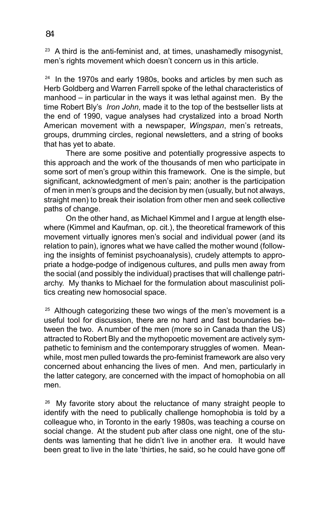<sup>23</sup> A third is the anti-feminist and, at times, unashamedly misogynist, men's rights movement which doesn't concern us in this article.

 $24$  In the 1970s and early 1980s, books and articles by men such as Herb Goldberg and Warren Farrell spoke of the lethal characteristics of manhood – in particular in the ways it was lethal against men. By the time Robert Bly's *Iron John*, made it to the top of the bestseller lists at the end of 1990, vague analyses had crystalized into a broad North American movement with a newspaper, *Wingspan*, men's retreats, groups, drumming circles, regional newsletters, and a string of books that has yet to abate.

There are some positive and potentially progressive aspects to this approach and the work of the thousands of men who participate in some sort of men's group within this framework. One is the simple, but significant, acknowledgment of men's pain; another is the participation of men in men's groups and the decision by men (usually, but not always, straight men) to break their isolation from other men and seek collective paths of change.

On the other hand, as Michael Kimmel and I argue at length elsewhere (Kimmel and Kaufman, op. cit.), the theoretical framework of this movement virtually ignores men's social and individual power (and its relation to pain), ignores what we have called the mother wound (following the insights of feminist psychoanalysis), crudely attempts to appropriate a hodge-podge of indigenous cultures, and pulls men away from the social (and possibly the individual) practises that will challenge patriarchy. My thanks to Michael for the formulation about masculinist politics creating new homosocial space.

 $25$  Although categorizing these two wings of the men's movement is a useful tool for discussion, there are no hard and fast boundaries between the two. A number of the men (more so in Canada than the US) attracted to Robert Bly and the mythopoetic movement are actively sympathetic to feminism and the contemporary struggles of women. Meanwhile, most men pulled towards the pro-feminist framework are also very concerned about enhancing the lives of men. And men, particularly in the latter category, are concerned with the impact of homophobia on all men.

 $26$  My favorite story about the reluctance of many straight people to identify with the need to publically challenge homophobia is told by a colleague who, in Toronto in the early 1980s, was teaching a course on social change. At the student pub after class one night, one of the students was lamenting that he didn't live in another era. It would have been great to live in the late 'thirties, he said, so he could have gone off